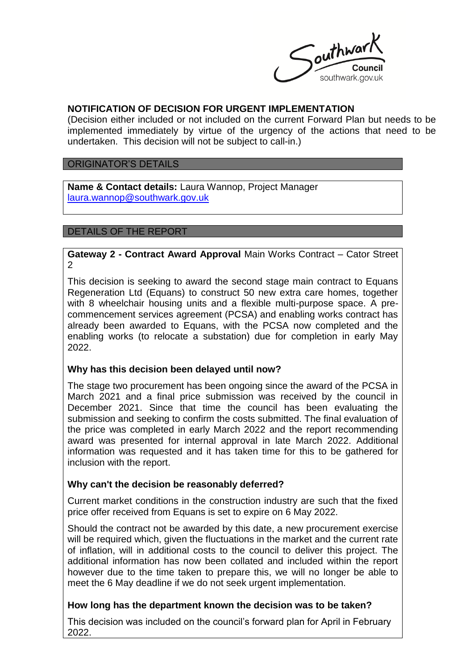

## **NOTIFICATION OF DECISION FOR URGENT IMPLEMENTATION**

(Decision either included or not included on the current Forward Plan but needs to be implemented immediately by virtue of the urgency of the actions that need to be undertaken. This decision will not be subject to call-in.)

#### ORIGINATOR'S DETAILS

**Name & Contact details:** Laura Wannop, Project Manager [laura.wannop@southwark.gov.uk](mailto:laura.wannop@southwark.gov.uk)

#### DETAILS OF THE REPORT

**Gateway 2 - Contract Award Approval** Main Works Contract – Cator Street 2

This decision is seeking to award the second stage main contract to Equans Regeneration Ltd (Equans) to construct 50 new extra care homes, together with 8 wheelchair housing units and a flexible multi-purpose space. A precommencement services agreement (PCSA) and enabling works contract has already been awarded to Equans, with the PCSA now completed and the enabling works (to relocate a substation) due for completion in early May 2022.

### **Why has this decision been delayed until now?**

The stage two procurement has been ongoing since the award of the PCSA in March 2021 and a final price submission was received by the council in December 2021. Since that time the council has been evaluating the submission and seeking to confirm the costs submitted. The final evaluation of the price was completed in early March 2022 and the report recommending award was presented for internal approval in late March 2022. Additional information was requested and it has taken time for this to be gathered for inclusion with the report.

### **Why can't the decision be reasonably deferred?**

Current market conditions in the construction industry are such that the fixed price offer received from Equans is set to expire on 6 May 2022.

Should the contract not be awarded by this date, a new procurement exercise will be required which, given the fluctuations in the market and the current rate of inflation, will in additional costs to the council to deliver this project. The additional information has now been collated and included within the report however due to the time taken to prepare this, we will no longer be able to meet the 6 May deadline if we do not seek urgent implementation.

### **How long has the department known the decision was to be taken?**

This decision was included on the council's forward plan for April in February 2022.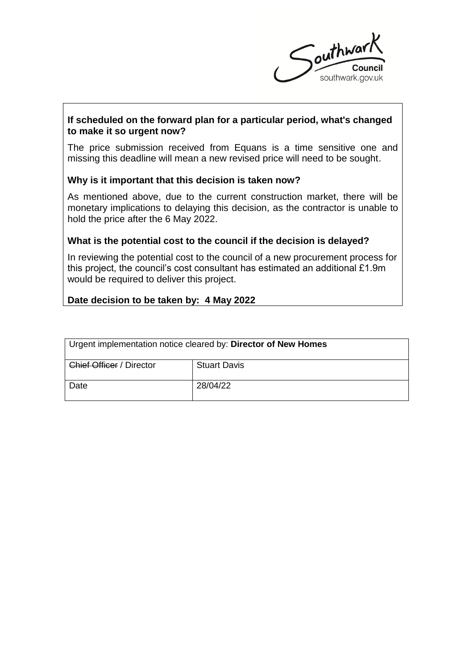

# **If scheduled on the forward plan for a particular period, what's changed to make it so urgent now?**

The price submission received from Equans is a time sensitive one and missing this deadline will mean a new revised price will need to be sought.

### **Why is it important that this decision is taken now?**

As mentioned above, due to the current construction market, there will be monetary implications to delaying this decision, as the contractor is unable to hold the price after the 6 May 2022.

### **What is the potential cost to the council if the decision is delayed?**

In reviewing the potential cost to the council of a new procurement process for this project, the council's cost consultant has estimated an additional £1.9m would be required to deliver this project.

### **Date decision to be taken by: 4 May 2022**

| Urgent implementation notice cleared by: Director of New Homes |                     |
|----------------------------------------------------------------|---------------------|
| Chief Officer / Director                                       | <b>Stuart Davis</b> |
| Date                                                           | 28/04/22            |